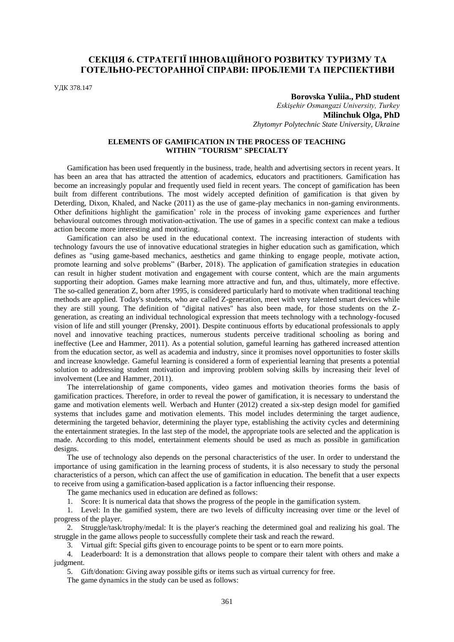# **СЕКЦІЯ 6. СТРАТЕГІЇ ІННОВАЦІЙНОГО РОЗВИТКУ ТУРИЗМУ ТА ГОТЕЛЬНО-РЕСТОРАННОЇ СПРАВИ: ПРОБЛЕМИ ТА ПЕРСПЕКТИВИ**

УДК 378.147

### **Borovska Yuliia., PhD student**

*Eskişehir Osmangazi University, Turkey* **Milinchuk Olga, PhD** *Zhytomyr Polytechnic State University, Ukraine*

### **ELEMENTS OF GAMIFICATION IN THE PROCESS OF TEACHING WITHIN "TOURISM" SPECIALTY**

Gamification has been used frequently in the business, trade, health and advertising sectors in recent years. It has been an area that has attracted the attention of academics, educators and practitioners. Gamification has become an increasingly popular and frequently used field in recent years. The concept of gamification has been built from different contributions. The most widely accepted definition of gamification is that given by Deterding, Dixon, Khaled, and Nacke (2011) as the use of game-play mechanics in non-gaming environments. Other definitions highlight the gamification' role in the process of invoking game experiences and further behavioural outcomes through motivation-activation. The use of games in a specific context can make a tedious action become more interesting and motivating.

Gamification can also be used in the educational context. The increasing interaction of students with technology favours the use of innovative educational strategies in higher education such as gamification, which defines as "using game-based mechanics, aesthetics and game thinking to engage people, motivate action, promote learning and solve problems" (Barber, 2018). The application of gamification strategies in education can result in higher student motivation and engagement with course content, which are the main arguments supporting their adoption. Games make learning more attractive and fun, and thus, ultimately, more effective. The so-called generation Z, born after 1995, is considered particularly hard to motivate when traditional teaching methods are applied. Today's students, who are called Z-generation, meet with very talented smart devices while they are still young. The definition of "digital natives" has also been made, for those students on the Zgeneration, as creating an individual technological expression that meets technology with a technology-focused vision of life and still younger (Prensky, 2001). Despite continuous efforts by educational professionals to apply novel and innovative teaching practices, numerous students perceive traditional schooling as boring and ineffective (Lee and Hammer, 2011). As a potential solution, gameful learning has gathered increased attention from the education sector, as well as academia and industry, since it promises novel opportunities to foster skills and increase knowledge. Gameful learning is considered a form of experiential learning that presents a potential solution to addressing student motivation and improving problem solving skills by increasing their level of involvement (Lee and Hammer, 2011).

The interrelationship of game components, video games and motivation theories forms the basis of gamification practices. Therefore, in order to reveal the power of gamification, it is necessary to understand the game and motivation elements well. Werbach and Hunter (2012) created a six-step design model for gamified systems that includes game and motivation elements. This model includes determining the target audience, determining the targeted behavior, determining the player type, establishing the activity cycles and determining the entertainment strategies. In the last step of the model, the appropriate tools are selected and the application is made. According to this model, entertainment elements should be used as much as possible in gamification designs.

The use of technology also depends on the personal characteristics of the user. In order to understand the importance of using gamification in the learning process of students, it is also necessary to study the personal characteristics of a person, which can affect the use of gamification in education. The benefit that a user expects to receive from using a gamification-based application is a factor influencing their response.

The game mechanics used in education are defined as follows:

1. Score: It is numerical data that shows the progress of the people in the gamification system.

1. Level: In the gamified system, there are two levels of difficulty increasing over time or the level of progress of the player.

2. Struggle/task/trophy/medal: It is the player's reaching the determined goal and realizing his goal. The struggle in the game allows people to successfully complete their task and reach the reward.

3. Virtual gift: Special gifts given to encourage points to be spent or to earn more points.

4. Leaderboard: It is a demonstration that allows people to compare their talent with others and make a judgment.

5. Gift/donation: Giving away possible gifts or items such as virtual currency for free.

The game dynamics in the study can be used as follows: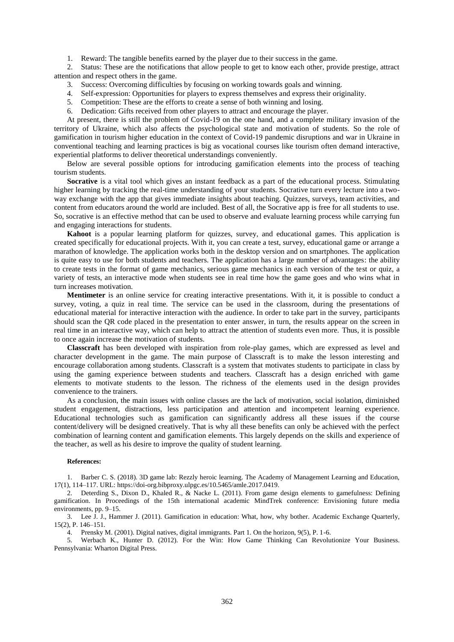1. Reward: The tangible benefits earned by the player due to their success in the game.

2. Status: These are the notifications that allow people to get to know each other, provide prestige, attract attention and respect others in the game.

- 3. Success: Overcoming difficulties by focusing on working towards goals and winning.
- 4. Self-expression: Opportunities for players to express themselves and express their originality.
- 5. Competition: These are the efforts to create a sense of both winning and losing.
- 6. Dedication: Gifts received from other players to attract and encourage the player.

At present, there is still the problem of Covid-19 on the one hand, and a complete military invasion of the territory of Ukraine, which also affects the psychological state and motivation of students. So the role of gamification in tourism higher education in the context of Covid-19 pandemic disruptions and war in Ukraine in conventional teaching and learning practices is big as vocational courses like tourism often demand interactive, experiential platforms to deliver theoretical understandings conveniently.

Below are several possible options for introducing gamification elements into the process of teaching tourism students.

**Socrative** is a vital tool which gives an instant feedback as a part of the educational process. Stimulating higher learning by tracking the real-time understanding of your students. Socrative turn every lecture into a twoway exchange with the app that gives immediate insights about teaching. Quizzes, surveys, team activities, and content from educators around the world are included. Best of all, the Socrative app is free for all students to use. So, socrative is an effective method that can be used to observe and evaluate learning process while carrying fun and engaging interactions for students.

**Kahoot** is a popular learning platform for quizzes, survey, and educational games. This application is created specifically for educational projects. With it, you can create a test, survey, educational game or arrange a marathon of knowledge. The application works both in the desktop version and on smartphones. The application is quite easy to use for both students and teachers. The application has a large number of advantages: the ability to create tests in the format of game mechanics, serious game mechanics in each version of the test or quiz, a variety of tests, an interactive mode when students see in real time how the game goes and who wins what in turn increases motivation.

**Mentimeter** is an online service for creating interactive presentations. With it, it is possible to conduct a survey, voting, a quiz in real time. The service can be used in the classroom, during the presentations of educational material for interactive interaction with the audience. In order to take part in the survey, participants should scan the QR code placed in the presentation to enter answer, in turn, the results appear on the screen in real time in an interactive way, which can help to attract the attention of students even more. Thus, it is possible to once again increase the motivation of students.

**Classcraft** has been developed with inspiration from role-play games, which are expressed as level and character development in the game. The main purpose of Classcraft is to make the lesson interesting and encourage collaboration among students. Classcraft is a system that motivates students to participate in class by using the gaming experience between students and teachers. Classcraft has a design enriched with game elements to motivate students to the lesson. The richness of the elements used in the design provides convenience to the trainers.

As a conclusion, the main issues with online classes are the lack of motivation, social isolation, diminished student engagement, distractions, less participation and attention and incompetent learning experience. Educational technologies such as gamification can significantly address all these issues if the course content/delivery will be designed creatively. That is why all these benefits can only be achieved with the perfect combination of learning content and gamification elements. This largely depends on the skills and experience of the teacher, as well as his desire to improve the quality of student learning.

#### **References:**

1. Barber C. S. (2018). 3D game lab: Rezzly heroic learning. The Academy of Management Learning and Education, 17(1), 114–117. URL: https://doi-org.bibproxy.ulpgc.es/10.5465/amle.2017.0419.

2. Deterding S., Dixon D., Khaled R., & Nacke L. (2011). From game design elements to gamefulness: Defining gamification. In Proceedings of the 15th international academic MindTrek conference: Envisioning future media environments, pp. 9–15.

3. Lee J. J., Hammer J. (2011). Gamification in education: What, how, why bother. Academic Exchange Quarterly, 15(2), P. 146–151.

4. Prensky M. (2001). Digital natives, digital immigrants. Part 1. On the horizon, 9(5), P. 1-6.

5. Werbach K., Hunter D. (2012). For the Win: How Game Thinking Can Revolutionize Your Business. Pennsylvania: Wharton Digital Press.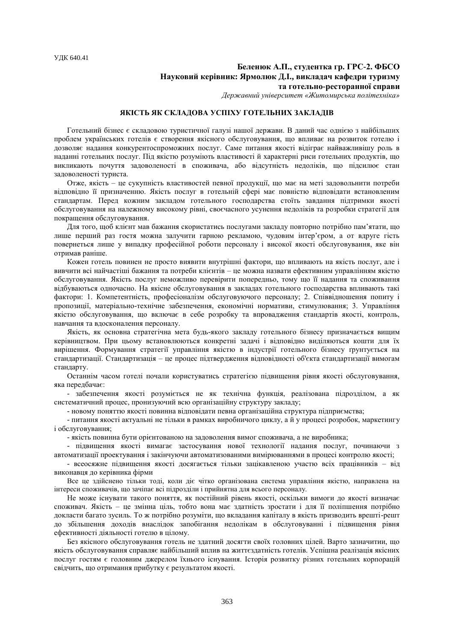# **Беленюк А.П., студентка гр. ГРС-2. ФБСО Науковий керівник: Ярмолюк Д.І., викладач кафедри туризму та готельно-ресторанної справи**

*Державний університет «Житомирська політехніка»*

#### **ЯКІСТЬ ЯК СКЛАДОВА УСПІХУ ГОТЕЛЬНИХ ЗАКЛАДІВ**

Готельний бізнес є складовою туристичної галузі нашої держави. В даний час однією з найбільших проблем українських готелів є створення якісного обслуговування, що впливає на розвиток готелю і дозволяє надання конкурентоспроможних послуг. Саме питання якості відіграє найважливішу роль в наданні готельних послуг. Під якістю розуміють властивості й характерні риси готельних продуктів, що викликають почуття задоволеності в споживача, або відсутність недоліків, що підсилює стан задоволеності туриста.

Отже, якість – це сукупність властивостей певної продукції, що має на меті задовольнити потреби відповідно її призначенню. Якість послуг в готельній сфері має повністю відповідати встановленим стандартам. Перед кожним закладом готельного господарства стоїть завдання підтримки якості обслуговування на належному високому рівні, своєчасного усунення недоліків та розробки стратегії для покращення обслуговування.

Для того, щоб клієнт мав бажання скористатись послугами закладу повторно потрібно пам'ятати, що лише перший раз гостя можна залучити гарною рекламою, чудовим інтер'єром, а от вдруге гість повернеться лише у випадку професійної роботи персоналу і високої якості обслуговування, яке він отримав раніше.

Кожен готель повинен не просто виявити внутрішні фактори, що впливають на якість послуг, але і вивчити всі найчастіші бажання та потреби клієнтів – це можна назвати ефективним управлінням якістю обслуговування. Якість послуг неможливо перевірити попередньо, тому що її надання та споживання відбуваються одночасно. На якісне обслуговування в закладах готельного господарства впливають такі фактори: 1. Компетентність, професіоналізм обслуговуючого персоналу; 2. Співвідношення попиту і пропозиції, матеріально-технічне забезпечення, економічні нормативи, стимулювання; 3. Управління якістю обслуговування, що включає в себе розробку та впровадження стандартів якості, контроль, навчання та вдосконалення персоналу.

Якість, як основна стратегічна мета будь-якого закладу готельного бізнесу призначається вищим керівництвом. При цьому встановлюються конкретні задачі і відповідно виділяються кошти для їх вирішення. Формування стратегії управління якістю в індустрії готельного бізнесу ґрунтується на стандартизації. Стандартизація – це процес підтвердження відповідності об'єкта стандартизації вимогам стандарту.

Останнім часом готелі почали користуватись стратегією підвищення рівня якості обслуговування, яка передбачає:

- забезпечення якості розуміється не як технічна функція, реалізована підрозділом, а як систематичний процес, пронизуючий всю організаційну структуру закладу;

- новому поняттю якості повинна відповідати певна організаційна структура підприємства;

- питання якості актуальні не тільки в рамках виробничого циклу, а й у процесі розробок, маркетингу і обслуговування;

- якість повинна бути орієнтованою на задоволення вимог споживача, а не виробника;

- підвищення якості вимагає застосування нової технології надання послуг, починаючи з автоматизації проектування і закінчуючи автоматизованими вимірюваннями в процесі контролю якості;

- всеосяжне підвищення якості досягається тільки зацікавленою участю всіх працівників – від виконавця до керівника фірми

Все це здійснено тільки тоді, коли діє чітко організована система управління якістю, направлена на інтереси споживачів, що зачіпає всі підрозділи і прийнятна для всього персоналу.

Не може існувати такого поняття, як постійний рівень якості, оскільки вимоги до якості визначає споживач. Якість – це змінна ціль, тобто вона має здатність зростати і для її поліпшення потрібно докласти багато зусиль. То ж потрібно розуміти, що вкладання капіталу в якість призводить врешті-решт до збільшення доходів внаслідок запобігання недолікам в обслуговуванні і підвищення рівня ефективності діяльності готелю в цілому.

Без якісного обслуговування готель не здатний досягти своїх головних цілей. Варто зазначитии, що якість обслуговування справляє найбільший вплив на життєздатність готелів. Успішна реалізація якісних послуг гостям є головним джерелом їхнього існування. Історія розвитку різних готельних корпорацій свідчить, що отримання прибутку є результатом якості.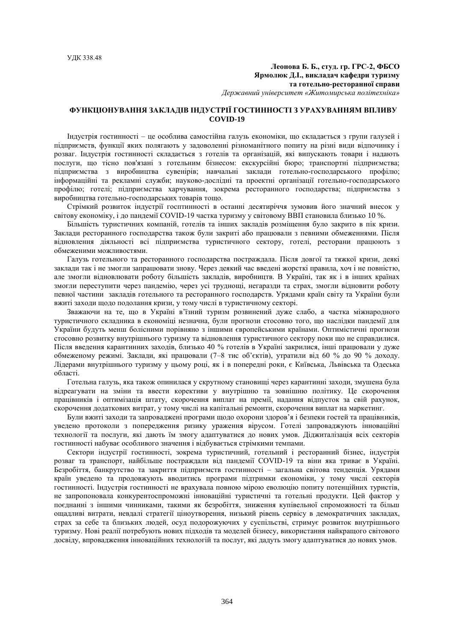## **Леонова Б. Б., студ. гр. ГРС-2, ФБСО Ярмолюк Д.І., викладач кафедри туризму та готельно-ресторанної справи** *Державний університет «Житомирська політехніка»*

# **ФУНКЦІОНУВАННЯ ЗАКЛАДІВ ІНДУСТРІЇ ГОСТИННОСТІ З УРАХУВАННЯМ ВПЛИВУ COVID-19**

Індустрія гостинності – це особлива самостійна галузь економіки, що складається з групи галузей і підприємств, функції яких полягають у задоволенні різноманітного попиту на різні види відпочинку і розваг. Індустрія гостинності складається з готелів та організацій, які випускають товари і надають послуги, що тісно пов'язані з готельним бізнесом: екскурсійні бюро; транспортні підприємства; підприємства з виробництва сувенірів; навчальні заклади готельно-господарського профілю; інформаційні та рекламні служби; науково-дослідні та проектні організації готельно-господарського профілю; готелі; підприємства харчування, зокрема ресторанного господарства; підприємства з виробництва готельно-господарських товарів тощо.

Стрімкий розвиток індустрії госптинності в останні десятиріччя зумовив його значний внесок у світову економіку, і до пандемії COVID-19 частка туризму у світовому ВВП становила близько 10 %.

Більшість туристичних компаній, готелів та інших закладів розміщення було закрито в пік кризи. Заклади ресторанного господарства також були закриті або працювали з певними обмеженнями. Після відновлення діяльності всі підприємства туристичного сектору, готелі, ресторани працюють з обмеженими можливостями.

Галузь готельного та ресторанного господарства постраждала. Після довгої та тяжкої кризи, деякі заклади так і не змогли запрацювати знову. Через деякий час введені жорсткі правила, хоч і не повністю, але змогли відновлювати роботу більшість закладів, виробництв. В Україні, так як і в інших країнах змогли переступити через пандемію, через усі труднощі, негаразди та страх, змогли відновити роботу певної частини закладів готельного та ресторанного господарств. Урядами країн світу та України були вжиті заходи щодо подолання кризи, у тому числі в туристичному секторі.

Зважаючи на те, що в Україні в'їзний туризм розвинений дуже слабо, а частка міжнародного туристичного складника в економіці незначна, були прогнози стосовно того, що наслідки пандемії для України будуть менш болісними порівняно з іншими європейськими країнами. Оптимістичні прогнози стосовно розвитку внутрішнього туризму та відновлення туристичного сектору поки що не справдилися. Після введення карантинних заходів, близько 40 % готелів в Україні закрилися, інші працювали у дуже обмеженому режимі. Заклади, які працювали (7–8 тис об'єктів), утратили від 60 % до 90 % доходу. Лідерами внутрішнього туризму у цьому році, як і в попередні роки, є Київська, Львівська та Одеська області.

Готельна галузь, яка також опинилася у скрутному становищі через карантинні заходи, змушена була відреагувати на зміни та ввести корективи у внутрішню та зовнішню політику. Це скорочення працівників і оптимізація штату, скорочення виплат на премії, надання відпусток за свій рахунок, скорочення додаткових витрат, у тому числі на капітальні ремонти, скорочення виплат на маркетинг.

Були вжиті заходи та запроваджені програми щодо охорони здоров'я і безпеки гостей та працівників, уведено протоколи з попередження ризику ураження вірусом. Готелі запроваджують інноваційні технології та послуги, які дають їм змогу адаптуватися до нових умов. Діджиталізація всіх секторів гостинності набуває особливого значення і відбувається стрімкими темпами.

Сектори індустрії гостинності, зокрема туристичний, готельний і ресторанний бізнес, індустрія розваг та транспорт, найбільше постраждали від пандемії COVID-19 та віни яка триває в Україні. Безробіття, банкрутство та закриття підприємств гостинності – загальна світова тенденція. Урядами країн уведено та продовжують вводитись програми підтримки економіки, у тому числі секторів гостинності. Індустрія гостинності не врахувала повною мірою еволюцію попиту потенційних туристів, не запропоновала конкурентоспроможні інноваційні туристичні та готельні продукти. Цей фактор у поєднанні з іншими чинниками, такими як безробіття, зниження купівельної спроможності та більш ощадливі витрати, невдалі стратегії ціноутворення, низький рівень сервісу в демократичних закладах, страх за себе та близьких людей, осуд подорожуючих у суспільстві, стримує розвиток внутрішнього туризму. Нові реалії потребують нових підходів та моделей бізнесу, використання найкращого світового досвіду, впровадження інноваційних технологій та послуг, які дадуть змогу адаптуватися до нових умов.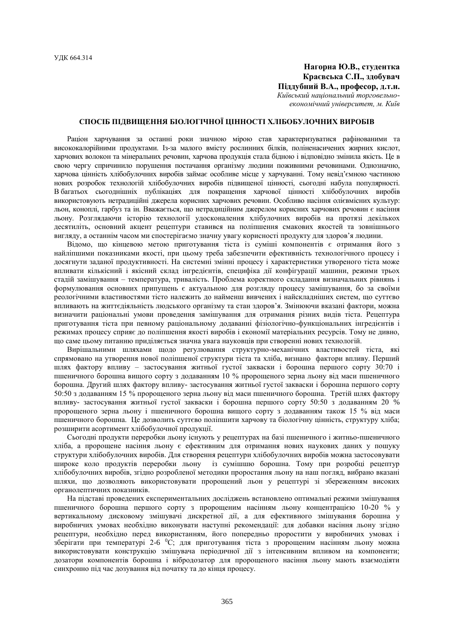# **Нагорна Ю.В., студентка Краєвська С.П., здобувач Піддубний В.А., професор, д.т.н.** *Київський національний торговельноекономічний університет, м. Київ*

# **СПОСІБ ПІДВИЩЕННЯ БІОЛОГІЧНОЇ ЦІННОСТІ ХЛІБОБУЛОЧНИХ ВИРОБІВ**

Раціон харчування за останні роки значною мірою став характеризуватися рафінованими та висококалорійними продуктами. Із-за малого вмісту рослинних білків, поліненасичених жирних кислот, харчових волокон та мінеральних речовин, харчова продукція стала бідною і відповідно змінила якість. Це в свою чергу спричинило порушення постачання організму людини поживними речовинами. Однозначно, харчова цінність хлібобулочних виробів займає особливе місце у харчуванні. Тому невід'ємною частиною нових розробок технологій хлібобулочних виробів підвищеної цінності, сьогодні набула популярності. В багатьох сьогоднішніх публікаціях для покращення харчової цінності хлібобулочних виробів використовують нетрадиційні джерела корисних харчових речовин. Особливо насіння олієвмісних культур: льон, коноплі, гарбуз та ін. Вважається, що нетрадиційним джерелом корисних харчових речовин є насіння льону. Розглядаючи історію технології удосконалення хлібулочних виробів на протязі декількох десятиліть, основний акцент рецептури ставився на поліпшення смакових якостей та зовнішнього вигляду, а останнім часом ми спостерігаємо значну увагу корисності продукту для здоров'я людини.

Відомо, що кінцевою метою приготування тіста із суміші компонентів є отримання його з найліпшими показниками якості, при цьому треба забезпечити ефективність технологічного процесу і досягнути заданої продуктивності. На системні змінні процесу і характеристики утвореного тіста може впливати кількісний і якісний склад інгредієнтів, специфіка дії конфігурації машини, режими трьох стадій замішування – температура, тривалість. Проблема коректного складання визначальних рівнянь і формулювання основних припущень є актуальною для розгляду процесу замішування, бо за своїми реологічними властивостями тісто належить до найменш вивчених і найскладніших систем, що суттєво впливають на життєдіяльність людського організму та стан здоров'я. Змінюючи вказані фактори, можна визначити раціональні умови проведення замішування для отримання різних видів тіста. Рецептура приготування тіста при певному раціональному додаванні фізіологічно-функціональних інгредієнтів і режимах процесу сприяє до поліпшення якості виробів і економії матеріальних ресурсів. Тому не дивно, що саме цьому питанню приділяється значна увага науковців при створенні нових технологій.

Вирішальними шляхами щодо регулювання структурно-механічних властивостей тіста, які спрямовано на утворення нової поліпшеної структури тіста та хліба, визнано фактори впливу. Перший шлях фактору впливу – застосування житньої густої закваски і борошна першого сорту 30:70 і пшеничного борошна вищого сорту з додаванням 10 % пророщеного зерна льону від маси пшеничного борошна. Другий шлях фактору впливу- застосування житньої густої закваски і борошна першого сорту 50:50 з додаванням 15 % пророщеного зерна льону від маси пшеничного борошна. Третій шлях фактору впливу- застосування житньої густої закваски і борошна першого сорту 50:50 з додаванням 20 % пророщеного зерна льону і пшеничного борошна вищого сорту з додаванням також 15 % від маси пшеничного борошна. Це дозволить суттєво поліпшити харчову та біологічну цінність, структуру хліба; розширити асортимент хлібобулочної продукції.

Сьогодні продукти переробки льону існують у рецептурах на базі пшеничного і житньо-пшеничного хліба, а пророщене насіння льону є ефективним для отримання нових наукових даних у пошуку структури хлібобулочних виробів. Для створення рецептури хлібобулочних виробів можна застосовувати широке коло продуктів переробки льону із сумішшю борошна. Тому при розробці рецептур хлібобулочних виробів, згідно розробленої методики проростання льону на наш погляд, вибрано вказані шляхи, що дозволяють використовувати пророщений льон у рецептурі зі збереженням високих органолептичних показників.

На підставі проведених експериментальних досліджень встановлено оптимальні режими змішування пшеничного борошна першого сорту з пророщеним насінням льону концентрацією 10-20 % у вертикальному дисковому змішувачі дискретної дії, а для ефективного змішування борошна у виробничих умовах необхідно виконувати наступні рекомендації: для добавки насіння льону згідно рецептури, необхідно перед використанням, його попередньо проростити у виробничих умовах і зберігати при температурі 2-6 <sup>0</sup>С; для приготування тіста з пророщеним насінням льону можна використовувати конструкцію змішувача періодичної дії з інтенсивним впливом на компоненти; дозатори компонентів борошна і вібродозатор для пророщеного насіння льону мають взаємодіяти синхронно під час дозування від початку та до кінця процесу.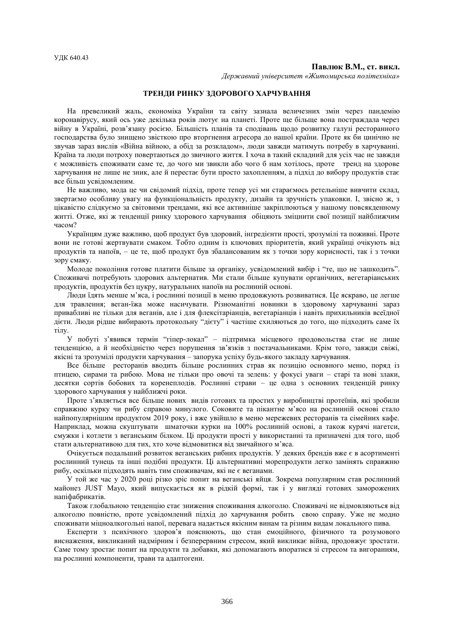#### **Павлюк В.М., ст. викл.**

*Державний університет «Житомирська політехніка»*

# **ТРЕНДИ РИНКУ ЗДОРОВОГО ХАРЧУВАННЯ**

На превеликий жаль, економіка України та світу зазнала величезних змін через пандемію коронавірусу, який ось уже декілька років лютує на планеті. Проте ще більще вона постраждала через війну в Україні, розв'язану росією. Більшість планів та сподівань щодо розвитку галузі ресторанного господарства було знищено звісткою про вторгнення агресора до нашої країни. Проте як би цинічно не звучав зараз вислів «Війна війною, а обід за розкладом», люди завжди матимуть потребу в харчуванні. Країна та люди потроху повертаються до звичного життя. І хоча в такий складний для усіх час не завжди є можливість споживати саме те, до чого ми звикли або чого б нам хотілось, проте тренд на здорове харчування не лише не зник, але й перестає бути просто захопленням, а підхід до вибору продуктів стає все більш усвідомленим.

Не важливо, мода це чи свідомий підхід, проте тепер усі ми стараємось ретельніше вивчити склад, звертаємо особливу увагу на функціональність продукту, дизайн та зручність упаковки. І, звісно ж, з цікавістю слідкуємо за світовими трендами, які все активніше закріплюються у нашому повсякденному житті. Отже, які ж тенденції ринку здорового харчування обіцяють зміцнити свої позиції найближчим часом?

Українцям дуже важливо, щоб продукт був здоровий, інгредієнти прості, зрозумілі та поживні. Проте вони не готові жертвувати смаком. Тобто одним із ключових пріоритетів, який українці очікують від продуктів та напоїв, – це те, щоб продукт був збалансованим як з точки зору корисності, так і з точки зору смаку.

Молоде покоління готове платити більше за органіку, усвідомлений вибір і "те, що не зашкодить". Споживачі потребують здорових альтернатив. Ми стали більше купувати органічних, вегетаріанських продуктів, продуктів без цукру, натуральних напоїв на рослинній основі.

Люди їдять менше м'яса, і рослинні позиції в меню продовжують розвиватися. Це яскраво, це легше для травлення; веган-їжа може насичувати. Різноманітні новинки в здоровому харчуванні зараз привабливі не тільки для веганів, але і для флексітаріанців, вегетаріанців і навіть прихильників всеїдної дієти. Люди рідше вибирають протокольну "дієту" і частіше схиляються до того, що підходить саме їх тілу.

У побуті з'явився термін "гіпер-локал" – підтримка місцевого продовольства стає не лише тенденцією, а й необхідністю через порушення зв'язків з постачальниками. Крім того, завжди свіжі, якісні та зрозумілі продукти харчування – запорука успіху будь-якого закладу харчування.

Все більше ресторанів вводить більше рослинних страв як позицію основного меню, поряд із птицею, сирами та рибою. Мова не тільки про овочі та зелень: у фокусі уваги – старі та нові злаки, десятки сортів бобових та коренеплодів. Рослинні страви – це одна з основних тенденцій ринку здорового харчування у найближчі роки.

Проте з'являється все більше нових видів готових та простих у виробництві протеїнів, які зробили справжню курку чи рибу справою минулого. Соковите та пікантне м'ясо на рослинній основі стало найпопулярнішим продуктом 2019 року, і вже увійшло в меню мережевих ресторанів та сімейних кафе. Наприклад, можна скуштувати шматочки курки на 100% рослинній основі, а також курячі нагетси, смужки і котлети з веганським білком. Ці продукти прості у використанні та призначені для того, щоб стати альтернативою для тих, хто хоче відмовитися від звичайного м'яса.

Очікується подальший розвиток веганських рибних продуктів. У деяких брендів вже є в асортименті рослинний тунець та інші подібні продукти. Ці альтернативні морепродукти легко замінять справжню рибу, оскільки підходять навіть тим споживачам, які не є веганами.

У той же час у 2020 році різко зріс попит на веганські яйця. Зокрема популярним став рослинний майонез JUST Mayo, який випускається як в рідкій формі, так і у вигляді готових заморожених напіфабрикатів.

Також глобальною тенденцію стає зниження споживання алкоголю. Споживачі не відмовляються від алкоголю повністю, проте усвідомлений підхід до харчування робить свою справу. Уже не модно споживати міцноалкогольні напої, перевага надається якісним винам та різним видам локального пива.

Експерти з психічного здоров'я пояснюють, що стан емоційного, фізичного та розумового виснаження, викликаний надмірним і безперервним стресом, який викликає війна, продовжує зростати. Саме тому зростає попит на продукти та добавки, які допомагають впоратися зі стресом та вигоранням, на рослинні компоненти, трави та адаптогени.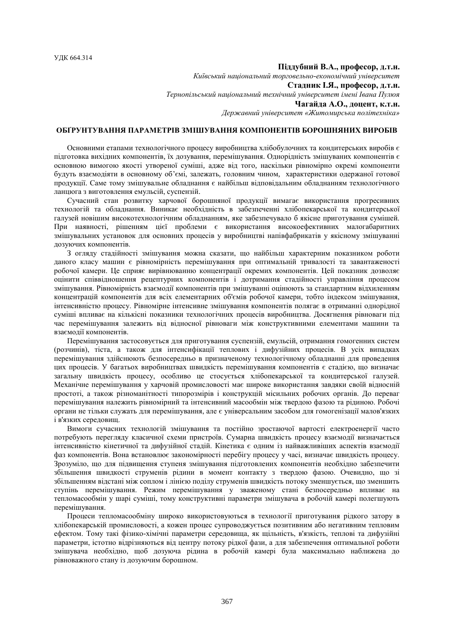### **Піддубний В.А., професор, д.т.н.**

*Київський національний торговельно-економічний університет* **Стадник І.Я., професор, д.т.н.** *Тернопільський національний технічний університет імені Івана Пулюя* **Чагайда А.О., доцент, к.т.н.** *Державний університет «Житомирська політехніка»*

# **ОБҐРУНТУВАННЯ ПАРАМЕТРІВ ЗМІШУВАННЯ КОМПОНЕНТІВ БОРОШНЯНИХ ВИРОБІВ**

Основними етапами технологічного процесу виробництва хлібобулочних та кондитерських виробів є підготовка вихідних компонентів, їх дозування, перемішування. Однорідність змішуваних компонентів є основною вимогою якості утвореної суміші, адже від того, наскільки рівномірно окремі компоненти будуть взаємодіяти в основному об'ємі, залежать, головним чином, характеристики одержаної готової продукції. Саме тому змішувальне обладнання є найбільш відповідальним обладнанням технологічного ланцюга з виготовлення емульсій, суспензій.

Сучасний стан розвитку харчової борошняної продукції вимагає використання прогресивних технологій та обладнання. Виникає необхідність в забезпеченні хлібопекарської та кондитерської галузей новішим високотехнологічним обладнанням, яке забезпечувало б якісне приготування сумішей. При наявності, рішенням цієї проблеми є використання високоефективних малогабаритних змішувальних установок для основних процесів у виробництві напівфабрикатів у якісному змішуванні дозуючих компонентів.

З огляду стадійності змішування можна сказати, що найбільш характерним показником роботи даного класу машин є рівномірність перемішування при оптимальній тривалості та завантаженості робочої камери. Це сприяє вирівнюванню концентрації окремих компонентів. Цей показник дозволяє оцінити співвідношення рецептурних компонентів і дотримання стадійності управління процесом змішування. Рівномірність взаємодії компонентів при змішуванні оцінюють за стандартним відхиленням концентрацій компонентів для всіх елементарних об'ємів робочої камери, тобто індексом змішування, інтенсивністю процесу. Рівномірне інтенсивне змішування компонентів полягає в отриманні однорідної суміші впливає на кількісні показники технологічних процесів виробництва. Досягнення рівноваги під час перемішування залежить від відносної рівноваги між конструктивними елементами машини та взаємодії компонентів.

Перемішування застосовується для приготування суспензій, емульсій, отримання гомогенних систем (розчинів), тіста, а також для інтенсифікації теплових і дифузійних процесів. В усіх випадках перемішування здійснюють безпосередньо в призначеному технологічному обладнанні для проведення цих процесів. У багатьох виробництвах швидкість перемішування компонентів є стадією, що визначає загальну швидкість процесу, особливо це стосується хлібопекарської та кондитерської галузей. Механічне перемішування у харчовій промисловості має широке використання завдяки своїй відносній простоті, а також різноманітності типорозмірів і конструкцій місильних робочих органів. До переваг перемішування належить рівномірний та інтенсивний масообмін між твердою фазою та рідиною. Робочі органи не тільки служать для перемішування, але є універсальним засобом для гомогенізації малов'язких і в'язких середовищ.

Вимоги сучасних технологій змішування та постійно зростаючої вартості електроенергії часто потребують перегляду класичної схеми пристроїв. Сумарна швидкість процесу взаємодії визначається інтенсивністю кінетичної та дифузійної стадій. Кінетика є одним із найважливіших аспектів взаємодії фаз компонентів. Вона встановлює закономірності перебігу процесу у часі, визначає швидкість процесу. Зрозуміло, що для підвищення ступеня змішування підготовлених компонентів необхідно забезпечити збільшення швидкості струменів рідини в момент контакту з твердою фазою. Очевидно, що зі збільшенням відстані між соплом і лінією поділу струменів швидкість потоку зменшується, що зменшить ступінь перемішування. Режим перемішування у зваженому стані безпосередньо впливає на тепломасообмін у шарі суміші, тому конструктивні параметри змішувача в робочій камері полегшують перемішування.

Процеси тепломасообміну широко використовуються в технології приготування рідкого затору в хлібопекарській промисловості, а кожен процес супроводжується позитивним або негативним тепловим ефектом. Тому такі фізико-хімічні параметри середовища, як щільність, в'язкість, теплові та дифузійні параметри, істотно відрізняються від центру потоку рідкої фази, а для забезпечення оптимальної роботи змішувача необхідно, щоб дозуюча рідина в робочій камері була максимально наближена до рівноважного стану із дозуючим борошном.